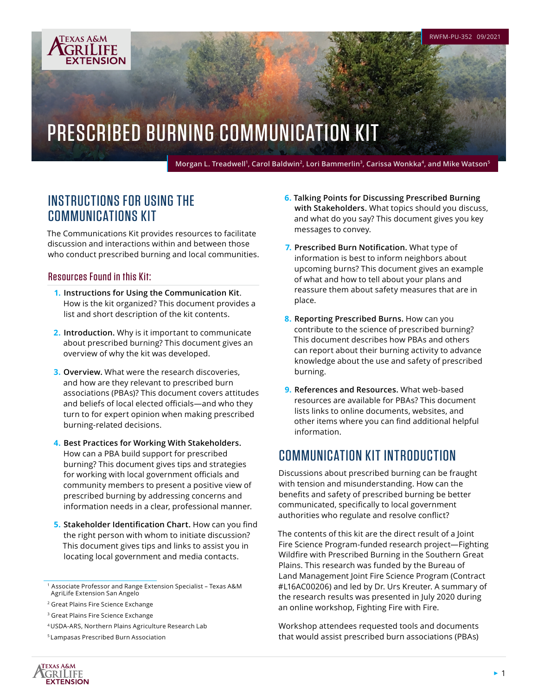# PRESCRIBED BURNING COMMUNICATION KIT

Morgan L. Treadwell<sup>1</sup>, Carol Baldwin<sup>2</sup>, Lori Bammerlin<sup>3</sup>, Carissa Wonkka<sup>4</sup>, and Mike Watson<sup>5</sup>

# INSTRUCTIONS FOR USING THE COMMUNICATIONS KIT

The Communications Kit provides resources to facilitate discussion and interactions within and between those who conduct prescribed burning and local communities.

### Resources Found in this Kit:

**TEXAS A&M** GRILIFE **EXTENSION** 

- **1. Instructions for Using the Communication Kit**. How is the kit organized? This document provides a list and short description of the kit contents.
- **2. Introduction.** Why is it important to communicate about prescribed burning? This document gives an overview of why the kit was developed.
- **3. Overview.** What were the research discoveries, and how are they relevant to prescribed burn associations (PBAs)? This document covers attitudes and beliefs of local elected officials—and who they turn to for expert opinion when making prescribed burning-related decisions.
- **4. Best Practices for Working With Stakeholders.** How can a PBA build support for prescribed burning? This document gives tips and strategies for working with local government officials and community members to present a positive view of prescribed burning by addressing concerns and information needs in a clear, professional manner.
- **5. Stakeholder Identification Chart.** How can you find the right person with whom to initiate discussion? This document gives tips and links to assist you in locating local government and media contacts.

**6. Talking Points for Discussing Prescribed Burning with Stakeholders.** What topics should you discuss, and what do you say? This document gives you key messages to convey.

RWFM-PU-352 09/2021

- **7. Prescribed Burn Notification.** What type of information is best to inform neighbors about upcoming burns? This document gives an example of what and how to tell about your plans and reassure them about safety measures that are in place.
- **8. Reporting Prescribed Burns.** How can you contribute to the science of prescribed burning? This document describes how PBAs and others can report about their burning activity to advance knowledge about the use and safety of prescribed burning.
- **9. References and Resources.** What web-based resources are available for PBAs? This document lists links to online documents, websites, and other items where you can find additional helpful information.

# COMMUNICATION KIT INTRODUCTION

Discussions about prescribed burning can be fraught with tension and misunderstanding. How can the benefits and safety of prescribed burning be better communicated, specifically to local government authorities who regulate and resolve conflict?

The contents of this kit are the direct result of a Joint Fire Science Program-funded research project—Fighting Wildfire with Prescribed Burning in the Southern Great Plains. This research was funded by the Bureau of Land Management Joint Fire Science Program (Contract #L16AC00206) and led by Dr. Urs Kreuter. A summary of the research results was presented in July 2020 during an online workshop, Fighting Fire with Fire.

Workshop attendees requested tools and documents that would assist prescribed burn associations (PBAs)



<sup>1</sup> Associate Professor and Range Extension Specialist – Texas A&M AgriLife Extension San Angelo

<sup>2</sup> Great Plains Fire Science Exchange

<sup>3</sup> Great Plains Fire Science Exchange

<sup>4</sup> USDA-ARS, Northern Plains Agriculture Research Lab

<sup>5</sup> Lampasas Prescribed Burn Association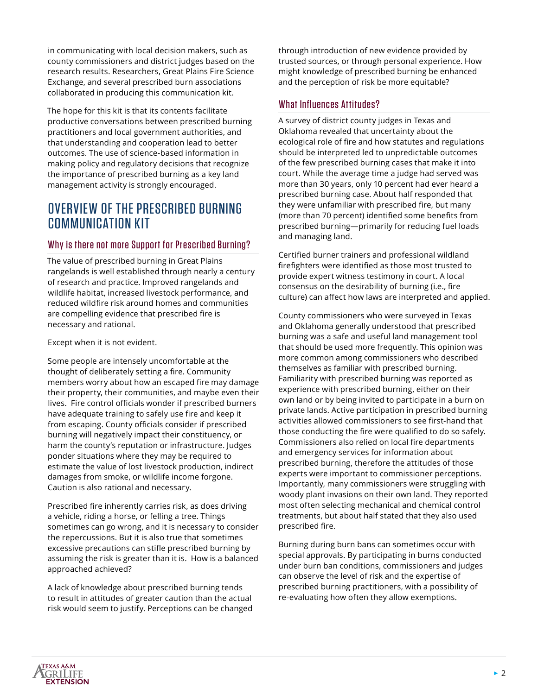in communicating with local decision makers, such as county commissioners and district judges based on the research results. Researchers, Great Plains Fire Science Exchange, and several prescribed burn associations collaborated in producing this communication kit.

The hope for this kit is that its contents facilitate productive conversations between prescribed burning practitioners and local government authorities, and that understanding and cooperation lead to better outcomes. The use of science-based information in making policy and regulatory decisions that recognize the importance of prescribed burning as a key land management activity is strongly encouraged.

# OVERVIEW OF THE PRESCRIBED BURNING COMMUNICATION KIT

### Why is there not more Support for Prescribed Burning?

The value of prescribed burning in Great Plains rangelands is well established through nearly a century of research and practice. Improved rangelands and wildlife habitat, increased livestock performance, and reduced wildfire risk around homes and communities are compelling evidence that prescribed fire is necessary and rational.

Except when it is not evident.

Some people are intensely uncomfortable at the thought of deliberately setting a fire. Community members worry about how an escaped fire may damage their property, their communities, and maybe even their lives. Fire control officials wonder if prescribed burners have adequate training to safely use fire and keep it from escaping. County officials consider if prescribed burning will negatively impact their constituency, or harm the county's reputation or infrastructure. Judges ponder situations where they may be required to estimate the value of lost livestock production, indirect damages from smoke, or wildlife income forgone. Caution is also rational and necessary.

Prescribed fire inherently carries risk, as does driving a vehicle, riding a horse, or felling a tree. Things sometimes can go wrong, and it is necessary to consider the repercussions. But it is also true that sometimes excessive precautions can stifle prescribed burning by assuming the risk is greater than it is. How is a balanced approached achieved?

A lack of knowledge about prescribed burning tends to result in attitudes of greater caution than the actual risk would seem to justify. Perceptions can be changed through introduction of new evidence provided by trusted sources, or through personal experience. How might knowledge of prescribed burning be enhanced and the perception of risk be more equitable?

### What Influences Attitudes?

A survey of district county judges in Texas and Oklahoma revealed that uncertainty about the ecological role of fire and how statutes and regulations should be interpreted led to unpredictable outcomes of the few prescribed burning cases that make it into court. While the average time a judge had served was more than 30 years, only 10 percent had ever heard a prescribed burning case. About half responded that they were unfamiliar with prescribed fire, but many (more than 70 percent) identified some benefits from prescribed burning—primarily for reducing fuel loads and managing land.

Certified burner trainers and professional wildland firefighters were identified as those most trusted to provide expert witness testimony in court. A local consensus on the desirability of burning (i.e., fire culture) can affect how laws are interpreted and applied.

County commissioners who were surveyed in Texas and Oklahoma generally understood that prescribed burning was a safe and useful land management tool that should be used more frequently. This opinion was more common among commissioners who described themselves as familiar with prescribed burning. Familiarity with prescribed burning was reported as experience with prescribed burning, either on their own land or by being invited to participate in a burn on private lands. Active participation in prescribed burning activities allowed commissioners to see first-hand that those conducting the fire were qualified to do so safely. Commissioners also relied on local fire departments and emergency services for information about prescribed burning, therefore the attitudes of those experts were important to commissioner perceptions. Importantly, many commissioners were struggling with woody plant invasions on their own land. They reported most often selecting mechanical and chemical control treatments, but about half stated that they also used prescribed fire.

Burning during burn bans can sometimes occur with special approvals. By participating in burns conducted under burn ban conditions, commissioners and judges can observe the level of risk and the expertise of prescribed burning practitioners, with a possibility of re-evaluating how often they allow exemptions.

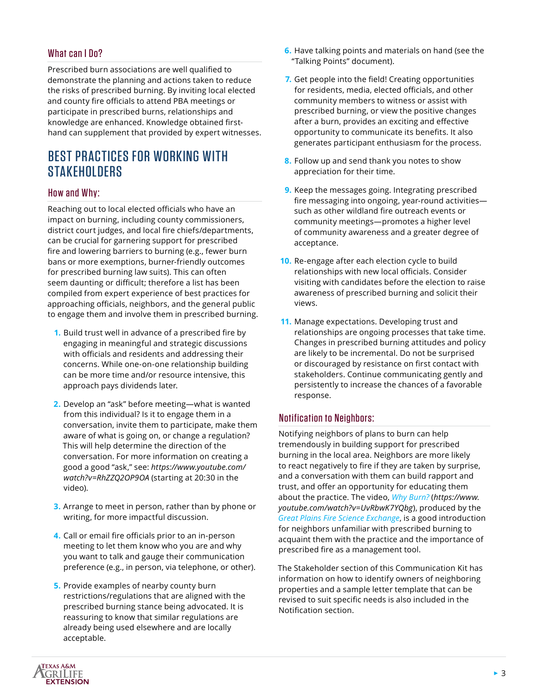### What can I Do?

Prescribed burn associations are well qualified to demonstrate the planning and actions taken to reduce the risks of prescribed burning. By inviting local elected and county fire officials to attend PBA meetings or participate in prescribed burns, relationships and knowledge are enhanced. Knowledge obtained firsthand can supplement that provided by expert witnesses.

# BEST PRACTICES FOR WORKING WITH **STAKEHOLDERS**

### How and Why:

Reaching out to local elected officials who have an impact on burning, including county commissioners, district court judges, and local fire chiefs/departments, can be crucial for garnering support for prescribed fire and lowering barriers to burning (e.g., fewer burn bans or more exemptions, burner-friendly outcomes for prescribed burning law suits). This can often seem daunting or difficult; therefore a list has been compiled from expert experience of best practices for approaching officials, neighbors, and the general public to engage them and involve them in prescribed burning.

- **1.** Build trust well in advance of a prescribed fire by engaging in meaningful and strategic discussions with officials and residents and addressing their concerns. While one-on-one relationship building can be more time and/or resource intensive, this approach pays dividends later.
- **2.** Develop an "ask" before meeting—what is wanted from this individual? Is it to engage them in a conversation, invite them to participate, make them aware of what is going on, or change a regulation? This will help determine the direction of the conversation. For more information on creating a good a good "ask," see: *[https://www.youtube.com/](https://www.youtube.com/watch?v=RhZZQ2OP9OA) watch?v=RhZZQ2OP9OA* [\(starting at 20:30 in the](https://www.youtube.com/watch?v=RhZZQ2OP9OA)  [video\)](https://www.youtube.com/watch?v=RhZZQ2OP9OA)*.*
- **3.** Arrange to meet in person, rather than by phone or writing, for more impactful discussion.
- **4.** Call or email fire officials prior to an in-person meeting to let them know who you are and why you want to talk and gauge their communication preference (e.g., in person, via telephone, or other).
- **5.** Provide examples of nearby county burn restrictions/regulations that are aligned with the prescribed burning stance being advocated. It is reassuring to know that similar regulations are already being used elsewhere and are locally acceptable.
- **6.** Have talking points and materials on hand (see the "Talking Points" document).
- **7.** Get people into the field! Creating opportunities for residents, media, elected officials, and other community members to witness or assist with prescribed burning, or view the positive changes after a burn, provides an exciting and effective opportunity to communicate its benefits. It also generates participant enthusiasm for the process.
- **8.** Follow up and send thank you notes to show appreciation for their time.
- **9.** Keep the messages going. Integrating prescribed fire messaging into ongoing, year-round activities such as other wildland fire outreach events or community meetings—promotes a higher level of community awareness and a greater degree of acceptance.
- **10.** Re-engage after each election cycle to build relationships with new local officials. Consider visiting with candidates before the election to raise awareness of prescribed burning and solicit their views.
- **11.** Manage expectations. Developing trust and relationships are ongoing processes that take time. Changes in prescribed burning attitudes and policy are likely to be incremental. Do not be surprised or discouraged by resistance on first contact with stakeholders. Continue communicating gently and persistently to increase the chances of a favorable response.

### Notification to Neighbors:

Notifying neighbors of plans to burn can help tremendously in building support for prescribed burning in the local area. Neighbors are more likely to react negatively to fire if they are taken by surprise, and a conversation with them can build rapport and trust, and offer an opportunity for educating them about the practice. The video, *[Why Burn?](https://www.youtube.com/watch?v=UvRbwK7YQbg)* (*[https://www.](https://www.youtube.com/watch?v=UvRbwK7YQbg) [youtube.com/watch?v=UvRbwK7YQbg](https://www.youtube.com/watch?v=UvRbwK7YQbg)*), produced by the *[Great Plains Fire Science Exchange](https://gpfirescience.org)*, is a good introduction for neighbors unfamiliar with prescribed burning to acquaint them with the practice and the importance of prescribed fire as a management tool.

The Stakeholder section of this Communication Kit has information on how to identify owners of neighboring properties and a sample letter template that can be revised to suit specific needs is also included in the Notification section.

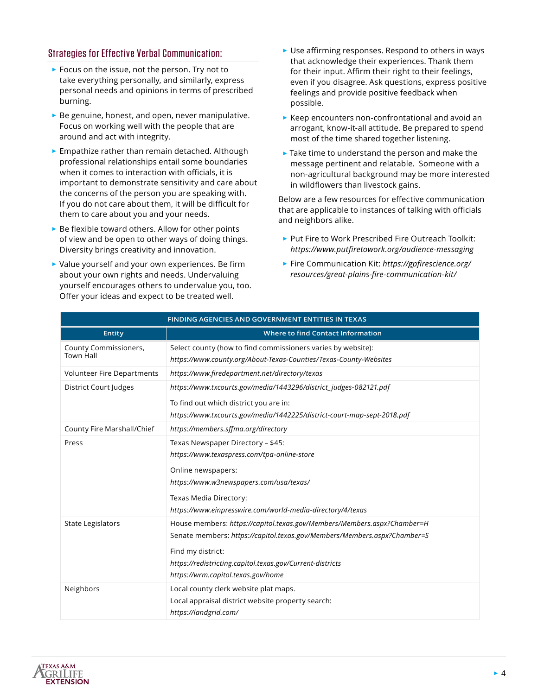### Strategies for Effective Verbal Communication:

- ► Focus on the issue, not the person. Try not to take everything personally, and similarly, express personal needs and opinions in terms of prescribed burning.
- ► Be genuine, honest, and open, never manipulative. Focus on working well with the people that are around and act with integrity.
- ► Empathize rather than remain detached. Although professional relationships entail some boundaries when it comes to interaction with officials, it is important to demonstrate sensitivity and care about the concerns of the person you are speaking with. If you do not care about them, it will be difficult for them to care about you and your needs.
- $\triangleright$  Be flexible toward others. Allow for other points of view and be open to other ways of doing things. Diversity brings creativity and innovation.
- ► Value yourself and your own experiences. Be firm about your own rights and needs. Undervaluing yourself encourages others to undervalue you, too. Offer your ideas and expect to be treated well.
- ► Use affirming responses. Respond to others in ways that acknowledge their experiences. Thank them for their input. Affirm their right to their feelings, even if you disagree. Ask questions, express positive feelings and provide positive feedback when possible.
- ► Keep encounters non-confrontational and avoid an arrogant, know-it-all attitude. Be prepared to spend most of the time shared together listening.
- $\blacktriangleright$  Take time to understand the person and make the message pertinent and relatable. Someone with a non-agricultural background may be more interested in wildflowers than livestock gains.

Below are a few resources for effective communication that are applicable to instances of talking with officials and neighbors alike.

- ► Put Fire to Work Prescribed Fire Outreach Toolkit: *<https://www.putfiretowork.org/audience-messaging>*
- ► Fire Communication Kit: *[https://gpfirescience.org/](https://gpfirescience.org/resources/great-plains-fire-communication-kit/) [resources/great-plains-fire-communication-kit/](https://gpfirescience.org/resources/great-plains-fire-communication-kit/)*

| FINDING AGENCIES AND GOVERNMENT ENTITIES IN TEXAS |                                                                                                                                                                                                                                                                             |
|---------------------------------------------------|-----------------------------------------------------------------------------------------------------------------------------------------------------------------------------------------------------------------------------------------------------------------------------|
| <b>Entity</b>                                     | <b>Where to find Contact Information</b>                                                                                                                                                                                                                                    |
| County Commissioners,<br><b>Town Hall</b>         | Select county (how to find commissioners varies by website):<br>https://www.county.org/About-Texas-Counties/Texas-County-Websites                                                                                                                                           |
| <b>Volunteer Fire Departments</b>                 | https://www.firedepartment.net/directory/texas                                                                                                                                                                                                                              |
| District Court Judges                             | https://www.txcourts.gov/media/1443296/district_judges-082121.pdf<br>To find out which district you are in:<br>https://www.txcourts.gov/media/1442225/district-court-map-sept-2018.pdf                                                                                      |
| County Fire Marshall/Chief                        | https://members.sffma.org/directory                                                                                                                                                                                                                                         |
| Press                                             | Texas Newspaper Directory - \$45:<br>https://www.texaspress.com/tpa-online-store<br>Online newspapers:<br>https://www.w3newspapers.com/usa/texas/<br>Texas Media Directory:<br>https://www.einpresswire.com/world-media-directory/4/texas                                   |
| <b>State Legislators</b>                          | House members: https://capitol.texas.gov/Members/Members.aspx?Chamber=H<br>Senate members: https://capitol.texas.gov/Members/Members.aspx?Chamber=S<br>Find my district:<br>https://redistricting.capitol.texas.gov/Current-districts<br>https://wrm.capitol.texas.gov/home |
| Neighbors                                         | Local county clerk website plat maps.<br>Local appraisal district website property search:<br>https://landgrid.com/                                                                                                                                                         |

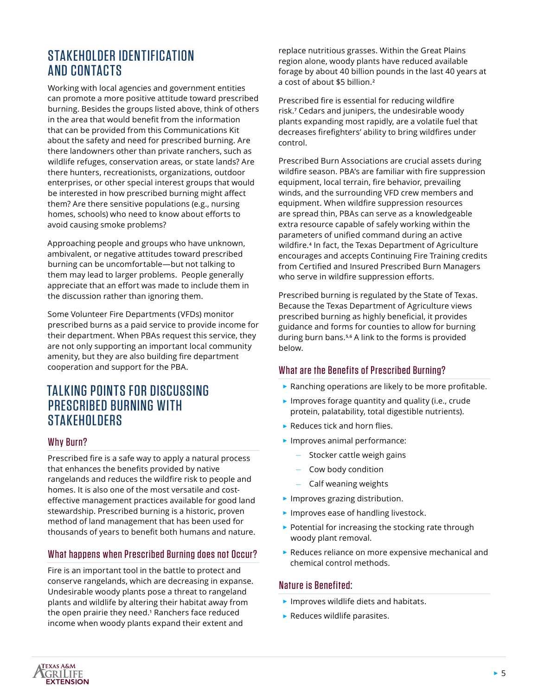# STAKEHOLDER IDENTIFICATION AND CONTACTS

Working with local agencies and government entities can promote a more positive attitude toward prescribed burning. Besides the groups listed above, think of others in the area that would benefit from the information that can be provided from this Communications Kit about the safety and need for prescribed burning. Are there landowners other than private ranchers, such as wildlife refuges, conservation areas, or state lands? Are there hunters, recreationists, organizations, outdoor enterprises, or other special interest groups that would be interested in how prescribed burning might affect them? Are there sensitive populations (e.g., nursing homes, schools) who need to know about efforts to avoid causing smoke problems?

Approaching people and groups who have unknown, ambivalent, or negative attitudes toward prescribed burning can be uncomfortable—but not talking to them may lead to larger problems. People generally appreciate that an effort was made to include them in the discussion rather than ignoring them.

Some Volunteer Fire Departments (VFDs) monitor prescribed burns as a paid service to provide income for their department. When PBAs request this service, they are not only supporting an important local community amenity, but they are also building fire department cooperation and support for the PBA.

# TALKING POINTS FOR DISCUSSING PRESCRIBED BURNING WITH STAKEHOLDERS

### Why Burn?

Prescribed fire is a safe way to apply a natural process that enhances the benefits provided by native rangelands and reduces the wildfire risk to people and homes. It is also one of the most versatile and costeffective management practices available for good land stewardship. Prescribed burning is a historic, proven method of land management that has been used for thousands of years to benefit both humans and nature.

#### What happens when Prescribed Burning does not Occur?

Fire is an important tool in the battle to protect and conserve rangelands, which are decreasing in expanse. Undesirable woody plants pose a threat to rangeland plants and wildlife by altering their habitat away from the open prairie they need.**<sup>1</sup>** Ranchers face reduced income when woody plants expand their extent and

replace nutritious grasses. Within the Great Plains region alone, woody plants have reduced available forage by about 40 billion pounds in the last 40 years at a cost of about \$5 billion.**<sup>2</sup>**

Prescribed fire is essential for reducing wildfire risk.**<sup>7</sup>** Cedars and junipers, the undesirable woody plants expanding most rapidly, are a volatile fuel that decreases firefighters' ability to bring wildfires under control.

Prescribed Burn Associations are crucial assets during wildfire season. PBA's are familiar with fire suppression equipment, local terrain, fire behavior, prevailing winds, and the surrounding VFD crew members and equipment. When wildfire suppression resources are spread thin, PBAs can serve as a knowledgeable extra resource capable of safely working within the parameters of unified command during an active wildfire.**<sup>4</sup>** In fact, the Texas Department of Agriculture encourages and accepts Continuing Fire Training credits from Certified and Insured Prescribed Burn Managers who serve in wildfire suppression efforts.

Prescribed burning is regulated by the State of Texas. Because the Texas Department of Agriculture views prescribed burning as highly beneficial, it provides guidance and forms for counties to allow for burning during burn bans.**5,6** A link to the forms is provided below.

### What are the Benefits of Prescribed Burning?

- ► Ranching operations are likely to be more profitable.
- ► Improves forage quantity and quality (i.e., crude protein, palatability, total digestible nutrients).
- ► Reduces tick and horn flies.
- ► Improves animal performance:
	- Stocker cattle weigh gains
	- Cow body condition
	- Calf weaning weights
- ► Improves grazing distribution.
- ► Improves ease of handling livestock.
- ► Potential for increasing the stocking rate through woody plant removal.
- ► Reduces reliance on more expensive mechanical and chemical control methods.

#### Nature is Benefited:

- ► Improves wildlife diets and habitats.
- ► Reduces wildlife parasites.

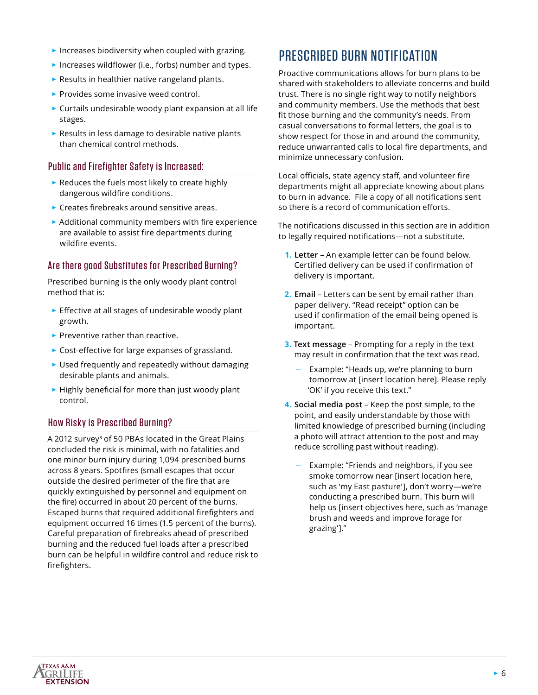- $\blacktriangleright$  Increases biodiversity when coupled with grazing.
- ► Increases wildflower (i.e., forbs) number and types.
- ► Results in healthier native rangeland plants.
- ► Provides some invasive weed control.
- ► Curtails undesirable woody plant expansion at all life stages.
- ► Results in less damage to desirable native plants than chemical control methods.

#### Public and Firefighter Safety is Increased:

- ► Reduces the fuels most likely to create highly dangerous wildfire conditions.
- ► Creates firebreaks around sensitive areas.
- ► Additional community members with fire experience are available to assist fire departments during wildfire events.

#### Are there good Substitutes for Prescribed Burning?

Prescribed burning is the only woody plant control method that is:

- ► Effective at all stages of undesirable woody plant growth.
- ► Preventive rather than reactive.
- ► Cost-effective for large expanses of grassland.
- ► Used frequently and repeatedly without damaging desirable plants and animals.
- ► Highly beneficial for more than just woody plant control.

### How Risky is Prescribed Burning?

A 2012 survey**<sup>3</sup>** of 50 PBAs located in the Great Plains concluded the risk is minimal, with no fatalities and one minor burn injury during 1,094 prescribed burns across 8 years. Spotfires (small escapes that occur outside the desired perimeter of the fire that are quickly extinguished by personnel and equipment on the fire) occurred in about 20 percent of the burns. Escaped burns that required additional firefighters and equipment occurred 16 times (1.5 percent of the burns). Careful preparation of firebreaks ahead of prescribed burning and the reduced fuel loads after a prescribed burn can be helpful in wildfire control and reduce risk to firefighters.

# PRESCRIBED BURN NOTIFICATION

Proactive communications allows for burn plans to be shared with stakeholders to alleviate concerns and build trust. There is no single right way to notify neighbors and community members. Use the methods that best fit those burning and the community's needs. From casual conversations to formal letters, the goal is to show respect for those in and around the community, reduce unwarranted calls to local fire departments, and minimize unnecessary confusion.

Local officials, state agency staff, and volunteer fire departments might all appreciate knowing about plans to burn in advance. File a copy of all notifications sent so there is a record of communication efforts.

The notifications discussed in this section are in addition to legally required notifications—not a substitute.

- **1. Letter**  An example letter can be found below. Certified delivery can be used if confirmation of delivery is important.
- **2. Email** Letters can be sent by email rather than paper delivery. "Read receipt" option can be used if confirmation of the email being opened is important.
- **3. Text message** Prompting for a reply in the text may result in confirmation that the text was read.
	- Example: "Heads up, we're planning to burn tomorrow at [insert location here]. Please reply 'OK' if you receive this text."
- **4. Social media post** Keep the post simple, to the point, and easily understandable by those with limited knowledge of prescribed burning (including a photo will attract attention to the post and may reduce scrolling past without reading).
	- Example: "Friends and neighbors, if you see smoke tomorrow near [insert location here, such as 'my East pasture'], don't worry—we're conducting a prescribed burn. This burn will help us [insert objectives here, such as 'manage brush and weeds and improve forage for grazing']."

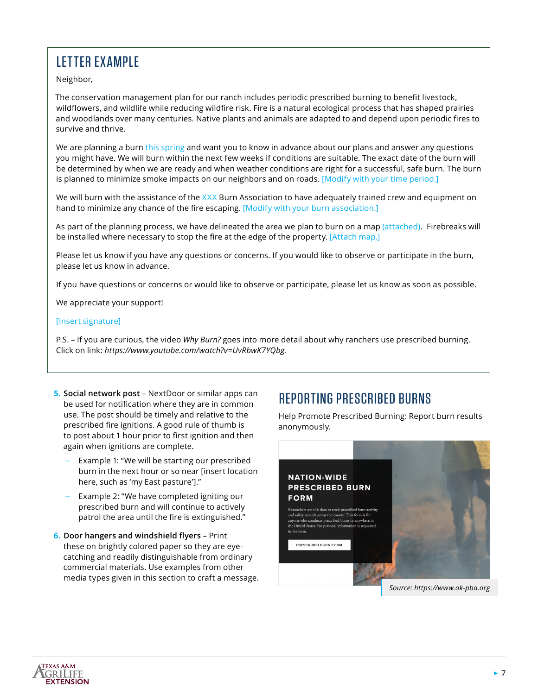# LETTER EXAMPLE

Neighbor,

The conservation management plan for our ranch includes periodic prescribed burning to benefit livestock, wildflowers, and wildlife while reducing wildfire risk. Fire is a natural ecological process that has shaped prairies and woodlands over many centuries. Native plants and animals are adapted to and depend upon periodic fires to survive and thrive.

We are planning a burn this spring and want you to know in advance about our plans and answer any questions you might have. We will burn within the next few weeks if conditions are suitable. The exact date of the burn will be determined by when we are ready and when weather conditions are right for a successful, safe burn. The burn is planned to minimize smoke impacts on our neighbors and on roads. [Modify with your time period.]

We will burn with the assistance of the XXX Burn Association to have adequately trained crew and equipment on hand to minimize any chance of the fire escaping. [Modify with your burn association.]

As part of the planning process, we have delineated the area we plan to burn on a map (attached). Firebreaks will be installed where necessary to stop the fire at the edge of the property. [Attach map.]

Please let us know if you have any questions or concerns. If you would like to observe or participate in the burn, please let us know in advance.

If you have questions or concerns or would like to observe or participate, please let us know as soon as possible.

We appreciate your support!

#### [Insert signature]

P.S. – If you are curious, the video *Why Burn?* goes into more detail about why ranchers use prescribed burning. Click on link: *[https://www.youtube.com/watch?v=UvRbwK7YQbg.](https://www.youtube.com/watch?v=UvRbwK7YQbg)*

- **5. Social network post** NextDoor or similar apps can be used for notification where they are in common use. The post should be timely and relative to the prescribed fire ignitions. A good rule of thumb is to post about 1 hour prior to first ignition and then again when ignitions are complete.
	- Example 1: "We will be starting our prescribed burn in the next hour or so near [insert location here, such as 'my East pasture']."
	- Example 2: "We have completed igniting our prescribed burn and will continue to actively patrol the area until the fire is extinguished."
- **6. Door hangers and windshield flyers** Print these on brightly colored paper so they are eyecatching and readily distinguishable from ordinary commercial materials. Use examples from other media types given in this section to craft a message.

# REPORTING PRESCRIBED BURNS

Help Promote Prescribed Burning: Report burn results anonymously.



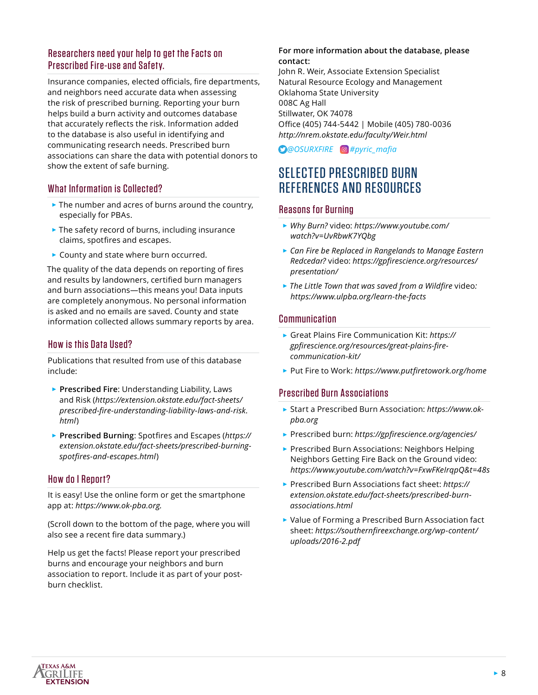### Researchers need your help to get the Facts on Prescribed Fire-use and Safety.

Insurance companies, elected officials, fire departments, and neighbors need accurate data when assessing the risk of prescribed burning. Reporting your burn helps build a burn activity and outcomes database that accurately reflects the risk. Information added to the database is also useful in identifying and communicating research needs. Prescribed burn associations can share the data with potential donors to show the extent of safe burning.

### What Information is Collected?

- ► The number and acres of burns around the country, especially for PBAs.
- ► The safety record of burns, including insurance claims, spotfires and escapes.
- ► County and state where burn occurred.

The quality of the data depends on reporting of fires and results by landowners, certified burn managers and burn associations—this means you! Data inputs are completely anonymous. No personal information is asked and no emails are saved. County and state information collected allows summary reports by area.

### How is this Data Used?

Publications that resulted from use of this database include:

- ► **Prescribed Fire**: Understanding Liability, Laws and Risk (*[https://extension.okstate.edu/fact-sheets/](https://extension.okstate.edu/fact-sheets/prescribed-fire-understanding-liability-laws-and-risk.html) [prescribed-fire-understanding-liability-laws-and-risk.](https://extension.okstate.edu/fact-sheets/prescribed-fire-understanding-liability-laws-and-risk.html) [html](https://extension.okstate.edu/fact-sheets/prescribed-fire-understanding-liability-laws-and-risk.html)*)
- ► **Prescribed Burning**: Spotfires and Escapes (*[https://](https://extension.okstate.edu/fact-sheets/prescribed-burning-spotfires-and-escapes.html) [extension.okstate.edu/fact-sheets/prescribed-burning](https://extension.okstate.edu/fact-sheets/prescribed-burning-spotfires-and-escapes.html)[spotfires-and-escapes.html](https://extension.okstate.edu/fact-sheets/prescribed-burning-spotfires-and-escapes.html)*)

#### How do I Report?

It is easy! Use the online form or get the smartphone app at: *<https://www.ok-pba.org>.*

(Scroll down to the bottom of the page, where you will also see a recent fire data summary.)

Help us get the facts! Please report your prescribed burns and encourage your neighbors and burn association to report. Include it as part of your postburn checklist.

#### **For more information about the database, please contact:**

John R. Weir, Associate Extension Specialist Natural Resource Ecology and Management Oklahoma State University 008C Ag Hall Stillwater, OK 74078 Office (405) 744-5442 | Mobile (405) 780-0036 *<http://nrem.okstate.edu/faculty/Weir.html>*

*[@OSURXFIRE](https://twitter.com/OSURXFIRE) [#pyric\\_mafia](https://www.instagram.com/explore/tags/pyric_mafia/)*

# SELECTED PRESCRIBED BURN REFERENCES AND RESOURCES

### Reasons for Burning

- ► *[Why Burn?](https://www.youtube.com/watch?v=UvRbwK7YQbg)* video: *[https://www.youtube.com/](https://www.youtube.com/watch?v=UvRbwK7YQbg) [watch?v=UvRbwK7YQbg](https://www.youtube.com/watch?v=UvRbwK7YQbg)*
- ► *[Can Fire be Replaced in Rangelands to Manage Eastern](https://gpfirescience.org/resources/presentation/)  [Redcedar?](https://gpfirescience.org/resources/presentation/)* video: *[https://gpfirescience.org/resources/](https://gpfirescience.org/resources/presentation/) [presentation/](https://gpfirescience.org/resources/presentation/)*
- ► *[The Little Town that was saved from a Wildfire](https://www.ulpba.org/learn-the-facts)* video*: <https://www.ulpba.org/learn-the-facts>*

#### **Communication**

- ► Great Plains Fire Communication Kit: *[https://](https://gpfirescience.org/resources/great-plains-fire-communication-kit/) [gpfirescience.org/resources/great-plains-fire](https://gpfirescience.org/resources/great-plains-fire-communication-kit/)[communication-kit/](https://gpfirescience.org/resources/great-plains-fire-communication-kit/)*
- ► Put Fire to Work: *<https://www.putfiretowork.org/home>*

### Prescribed Burn Associations

- ► Start a Prescribed Burn Association: *[https://www.ok](https://www.ok-pba.org)[pba.org](https://www.ok-pba.org)*
- ► Prescribed burn: *<https://gpfirescience.org/agencies/>*
- ► Prescribed Burn Associations: Neighbors Helping Neighbors Getting Fire Back on the Ground video: *<https://www.youtube.com/watch?v=FxwFKeIrqpQ&t=48s>*
- ► Prescribed Burn Associations fact sheet: *[https://](https://extension.okstate.edu/fact-sheets/prescribed-burn-associations.html) [extension.okstate.edu/fact-sheets/prescribed-burn](https://extension.okstate.edu/fact-sheets/prescribed-burn-associations.html)[associations.html](https://extension.okstate.edu/fact-sheets/prescribed-burn-associations.html)*
- ► Value of Forming a Prescribed Burn Association fact sheet: *[https://southernfireexchange.org/wp-content/](https://southernfireexchange.org/wp-content/uploads/2016-2.pdf) [uploads/2016-2.pdf](https://southernfireexchange.org/wp-content/uploads/2016-2.pdf)*

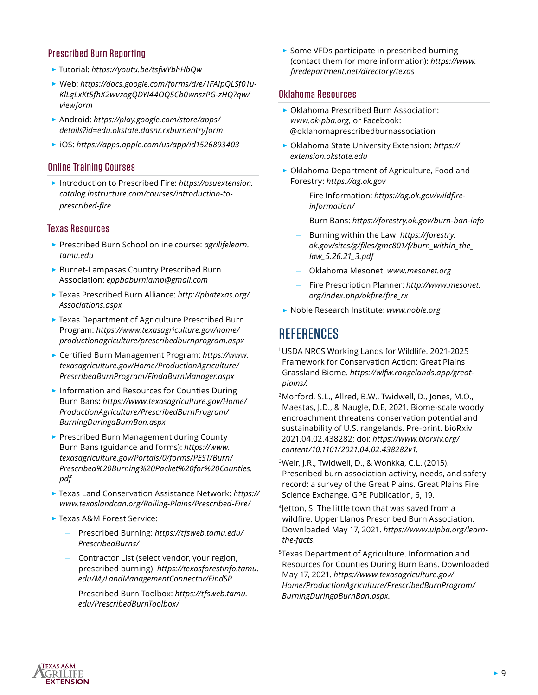### Prescribed Burn Reporting

- ► Tutorial: *<https://youtu.be/tsfwYbhHbQw>*
- ► Web: *[https://docs.google.com/forms/d/e/1FAIpQLSf01u-](https://docs.google.com/forms/d/e/1FAIpQLSf01u-KlLgLxKt5fhX2wvzogQDYI44OQ5Cb0wnszPG-zHQ7qw/viewform)[KlLgLxKt5fhX2wvzogQDYI44OQ5Cb0wnszPG-zHQ7qw/](https://docs.google.com/forms/d/e/1FAIpQLSf01u-KlLgLxKt5fhX2wvzogQDYI44OQ5Cb0wnszPG-zHQ7qw/viewform) [viewform](https://docs.google.com/forms/d/e/1FAIpQLSf01u-KlLgLxKt5fhX2wvzogQDYI44OQ5Cb0wnszPG-zHQ7qw/viewform)*
- ► Android: *[https://play.google.com/store/apps/](https://play.google.com/store/apps/details?id=edu.okstate.dasnr.rxburnentryform) [details?id=edu.okstate.dasnr.rxburnentryform](https://play.google.com/store/apps/details?id=edu.okstate.dasnr.rxburnentryform)*
- ► iOS: *<https://apps.apple.com/us/app/id1526893403>*

#### Online Training Courses

► Introduction to Prescribed Fire: *[https://osuextension.](https://osuextension.catalog.instructure.com/courses/introduction-to-prescribed-fire) [catalog.instructure.com/courses/introduction-to](https://osuextension.catalog.instructure.com/courses/introduction-to-prescribed-fire)[prescribed-fire](https://osuextension.catalog.instructure.com/courses/introduction-to-prescribed-fire)*

#### Texas Resources

- ► Prescribed Burn School online course: *[agrilifelearn.](http://agrilifelearn.tamu.edu) [tamu.edu](http://agrilifelearn.tamu.edu)*
- ► Burnet-Lampasas Country Prescribed Burn Association: *[eppbaburnlamp@gmail.com](mailto:eppbaburnlamp%40gmail.com?subject=)*
- ► Texas Prescribed Burn Alliance: *[http://pbatexas.org/](https://pbatexas.org/Associations.aspx) [Associations.aspx](https://pbatexas.org/Associations.aspx)*
- ► Texas Department of Agriculture Prescribed Burn Program: *[https://www.texasagriculture.gov/home/](https://www.texasagriculture.gov/home/productionagriculture/prescribedburnprogram.aspx) [productionagriculture/prescribedburnprogram.aspx](https://www.texasagriculture.gov/home/productionagriculture/prescribedburnprogram.aspx)*
- ► Certified Burn Management Program: *[https://www.](https://www.texasagriculture.gov/Home/ProductionAgriculture/PrescribedBurnProgram/FindaBurnManager.aspx) [texasagriculture.gov/Home/ProductionAgriculture/](https://www.texasagriculture.gov/Home/ProductionAgriculture/PrescribedBurnProgram/FindaBurnManager.aspx) [PrescribedBurnProgram/FindaBurnManager.aspx](https://www.texasagriculture.gov/Home/ProductionAgriculture/PrescribedBurnProgram/FindaBurnManager.aspx)*
- ► Information and Resources for Counties During Burn Bans: *[https://www.texasagriculture.gov/Home/](https://www.texasagriculture.gov/Home/ProductionAgriculture/PrescribedBurnProgram/BurningDuringaBurnBan.aspx) [ProductionAgriculture/PrescribedBurnProgram/](https://www.texasagriculture.gov/Home/ProductionAgriculture/PrescribedBurnProgram/BurningDuringaBurnBan.aspx) [BurningDuringaBurnBan.aspx](https://www.texasagriculture.gov/Home/ProductionAgriculture/PrescribedBurnProgram/BurningDuringaBurnBan.aspx)*
- ► Prescribed Burn Management during County Burn Bans (guidance and forms): *[https://www.](https://www.texasagriculture.gov/Portals/0/forms/PEST/Burn/Prescribed%20Burning%20Packet%20for%20Counties.pdf) [texasagriculture.gov/Portals/0/forms/PEST/Burn/](https://www.texasagriculture.gov/Portals/0/forms/PEST/Burn/Prescribed%20Burning%20Packet%20for%20Counties.pdf) [Prescribed%20Burning%20Packet%20for%20Counties.](https://www.texasagriculture.gov/Portals/0/forms/PEST/Burn/Prescribed%20Burning%20Packet%20for%20Counties.pdf) [pdf](https://www.texasagriculture.gov/Portals/0/forms/PEST/Burn/Prescribed%20Burning%20Packet%20for%20Counties.pdf)*
- ► Texas Land Conservation Assistance Network: *[https://](https://www.texaslandcan.org/Rolling-Plains/Prescribed-Fire/) [www.texaslandcan.org/Rolling-Plains/Prescribed-Fire/](https://www.texaslandcan.org/Rolling-Plains/Prescribed-Fire/)*
- ► Texas A&M Forest Service:
	- Prescribed Burning: *[https://tfsweb.tamu.edu/](https://tfsweb.tamu.edu/PrescribedBurns/) [PrescribedBurns/](https://tfsweb.tamu.edu/PrescribedBurns/)*
	- Contractor List (select vendor, your region, prescribed burning): *[https://texasforestinfo.tamu.](https://texasforestinfo.tamu.edu/MyLandManagementConnector/FindSP) [edu/MyLandManagementConnector/FindSP](https://texasforestinfo.tamu.edu/MyLandManagementConnector/FindSP)*
	- Prescribed Burn Toolbox: *[https://tfsweb.tamu.](https://tfsweb.tamu.edu/PrescribedBurnToolbox/) [edu/PrescribedBurnToolbox/](https://tfsweb.tamu.edu/PrescribedBurnToolbox/)*

► Some VFDs participate in prescribed burning (contact them for more information): *[https://www.](https://www.firedepartment.net/directory/texas) [firedepartment.net/directory/texas](https://www.firedepartment.net/directory/texas)*

#### Oklahoma Resources

- ► Oklahoma Prescribed Burn Association: *[www.ok-pba.org,](http://www.ok-pba.org)* or Facebook: @oklahomaprescribedburnassociation
- ► Oklahoma State University Extension: *[https://](https://extension.okstate.edu) [extension.okstate.edu](https://extension.okstate.edu)*
- ► Oklahoma Department of Agriculture, Food and Forestry: *<https://ag.ok.gov>*
	- Fire Information: *[https://ag.ok.gov/wildfire](https://ag.ok.gov/wildfire-information/)[information/](https://ag.ok.gov/wildfire-information/)*
	- Burn Bans: *<https://forestry.ok.gov/burn-ban-info>*
	- Burning within the Law: *[https://forestry.](https://forestry.ok.gov/sites/g/files/gmc801/f/burn_within_the_law_5.26.21_3.pdf) [ok.gov/sites/g/files/gmc801/f/burn\\_within\\_the\\_](https://forestry.ok.gov/sites/g/files/gmc801/f/burn_within_the_law_5.26.21_3.pdf) [law\\_5.26.21\\_3.pdf](https://forestry.ok.gov/sites/g/files/gmc801/f/burn_within_the_law_5.26.21_3.pdf)*
	- Oklahoma Mesonet: *[www.mesonet.org](http://www.mesonet.org)*
	- Fire Prescription Planner: *[http://www.mesonet.](http://www.mesonet.org/index.php/okfire/fire_rx) [org/index.php/okfire/fire\\_rx](http://www.mesonet.org/index.php/okfire/fire_rx)*
- ► Noble Research Institute: *[www.noble.org](http://www.noble.org)*

## **REFERENCES**

- 1USDA NRCS Working Lands for Wildlife. 2021-2025 Framework for Conservation Action: Great Plains Grassland Biome. *[https://wlfw.rangelands.app/great](https://wlfw.rangelands.app/great-plains/)[plains/.](https://wlfw.rangelands.app/great-plains/)*
- 2Morford, S.L., Allred, B.W., Twidwell, D., Jones, M.O., Maestas, J.D., & Naugle, D.E. 2021. Biome-scale woody encroachment threatens conservation potential and sustainability of U.S. rangelands. Pre-print. bioRxiv 2021.04.02.438282; doi: *[https://www.biorxiv.org/](https://www.biorxiv.org/content/10.1101/2021.04.02.438282v1) [content/10.1101/2021.04.02.438282v1](https://www.biorxiv.org/content/10.1101/2021.04.02.438282v1).*
- 3Weir, J.R., Twidwell, D., & Wonkka, C.L. (2015). Prescribed burn association activity, needs, and safety record: a survey of the Great Plains. Great Plains Fire Science Exchange. GPE Publication, 6, 19.
- <sup>4</sup> Jetton, S. The little town that was saved from a wildfire. Upper Llanos Prescribed Burn Association. Downloaded May 17, 2021. *[https://www.ulpba.org/learn](https://www.ulpba.org/learn-the-facts)[the-facts.](https://www.ulpba.org/learn-the-facts)*
- 5Texas Department of Agriculture. Information and Resources for Counties During Burn Bans. Downloaded May 17, 2021. *[https://www.texasagriculture.gov/](https://www.texasagriculture.gov/Home/ProductionAgriculture/PrescribedBurnProgram/BurningDuringaBurnBan.aspx) [Home/ProductionAgriculture/PrescribedBurnProgram/](https://www.texasagriculture.gov/Home/ProductionAgriculture/PrescribedBurnProgram/BurningDuringaBurnBan.aspx) [BurningDuringaBurnBan.aspx.](https://www.texasagriculture.gov/Home/ProductionAgriculture/PrescribedBurnProgram/BurningDuringaBurnBan.aspx)*